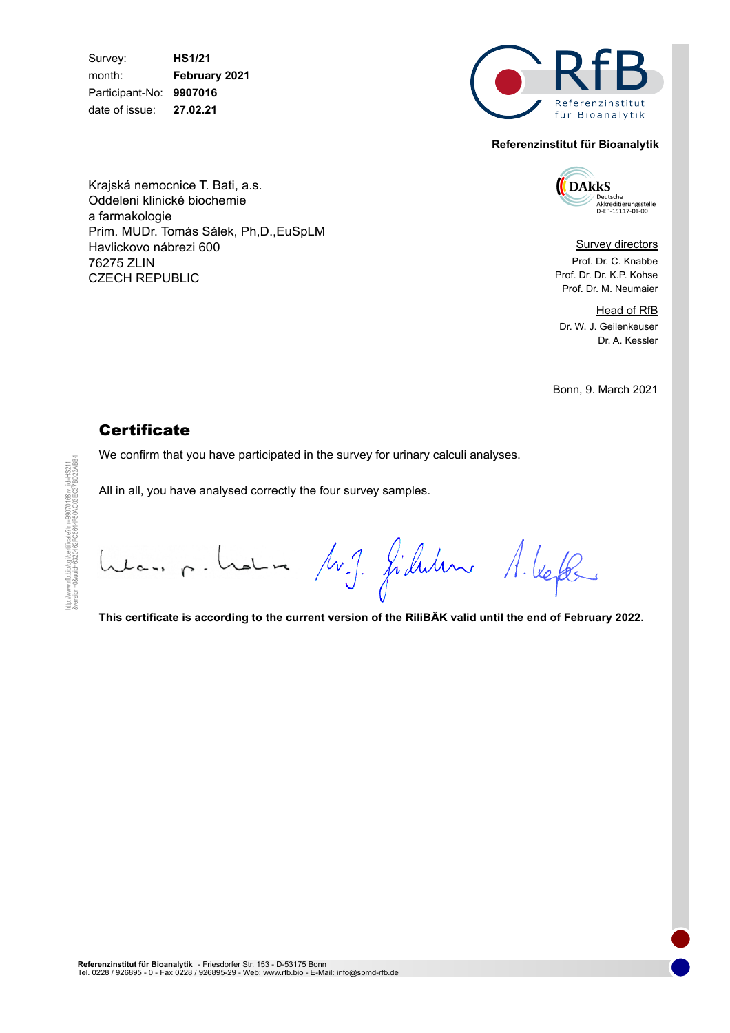Survey: **HS1/21** month: **February 2021** Participant-No: **9907016** date of issue: **27.02.21**

Krajská nemocnice T. Bati, a.s. Oddeleni klinické biochemie

Prim. MUDr. Tomás Sálek, Ph,D.,EuSpLM

a farmakologie

76275 ZLIN

Havlickovo nábrezi 600

CZECH REPUBLIC



#### **Referenzinstitut für Bioanalytik**

**DAkkS NUMBER<br>Standard Akkreditierungsstelle<br>D-EP-15117-01-00** 

Survey directors Prof. Dr. C. Knabbe Prof. Dr. Dr. K.P. Kohse Prof. Dr. M. Neumaier

Head of RfB Dr. W. J. Geilenkeuser Dr. A. Kessler

Bonn, 9. March 2021

## **Certificate**

We confirm that you have participated in the survey for urinary calculi analyses.

All in all, you have analysed correctly the four survey samples.

Les p. Lote M.J. filleder A. Vefte

**This certificate is according to the current version of the RiliBÄK valid until the end of February 2022.**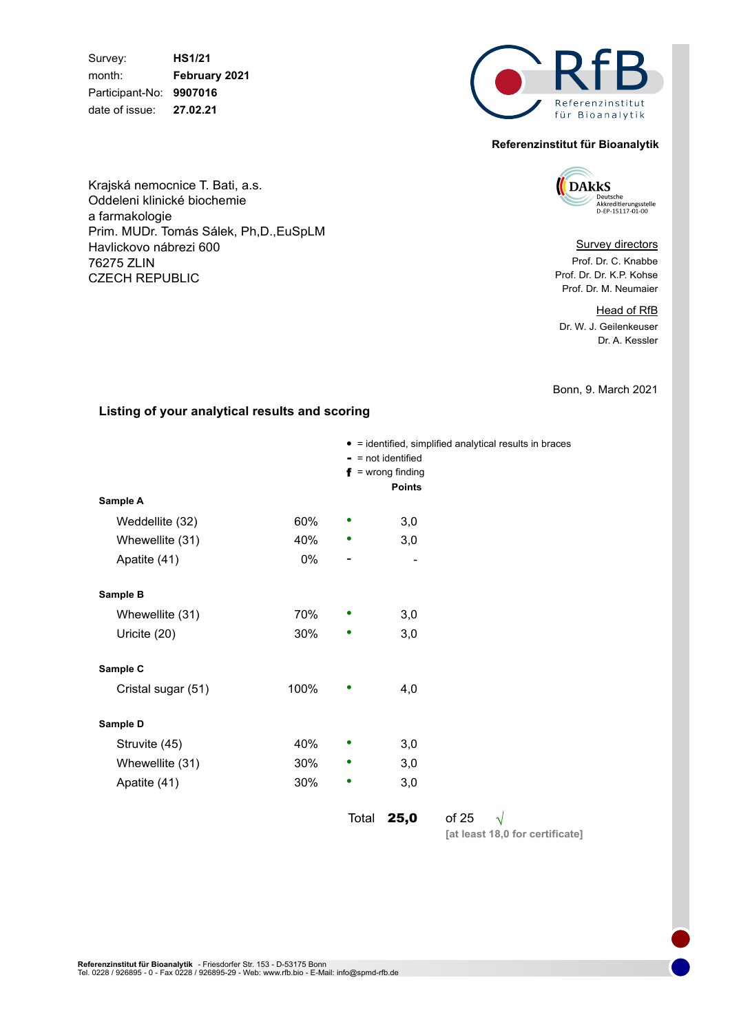Survey: **HS1/21** month: **February 2021** Participant-No: **9907016** date of issue: **27.02.21**

Krajská nemocnice T. Bati, a.s. Oddeleni klinické biochemie

Prim. MUDr. Tomás Sálek, Ph,D.,EuSpLM

a farmakologie

76275 ZLIN

Havlickovo nábrezi 600

CZECH REPUBLIC



#### **Referenzinstitut für Bioanalytik**

**DARKS** Deutsche<br>Akkreditierungsstelle<br>D-EP-15117-01-00

#### **Survey directors**

Prof. Dr. C. Knabbe Prof. Dr. Dr. K.P. Kohse Prof. Dr. M. Neumaier

Head of RfB Dr. W. J. Geilenkeuser Dr. A. Kessler

Bonn, 9. March 2021

#### **Listing of your analytical results and scoring**

|                    |      |       | $=$ not identified  | • = identified, simplified analytical results in braces |           |  |
|--------------------|------|-------|---------------------|---------------------------------------------------------|-----------|--|
|                    |      |       | $f =$ wrong finding |                                                         |           |  |
| Sample A           |      |       | <b>Points</b>       |                                                         |           |  |
| Weddellite (32)    | 60%  |       | 3,0                 |                                                         |           |  |
| Whewellite (31)    | 40%  |       | 3,0                 |                                                         |           |  |
| Apatite (41)       | 0%   | -     |                     |                                                         |           |  |
| Sample B           |      |       |                     |                                                         |           |  |
| Whewellite (31)    | 70%  |       | 3,0                 |                                                         |           |  |
| Uricite (20)       | 30%  |       | 3,0                 |                                                         |           |  |
| Sample C           |      |       |                     |                                                         |           |  |
| Cristal sugar (51) | 100% |       | 4,0                 |                                                         |           |  |
| Sample D           |      |       |                     |                                                         |           |  |
| Struvite (45)      | 40%  |       | 3,0                 |                                                         |           |  |
| Whewellite (31)    | 30%  |       | 3,0                 |                                                         |           |  |
| Apatite (41)       | 30%  | ٠     | 3,0                 |                                                         |           |  |
|                    |      | Total | 25,0                | of 25                                                   | $\sqrt{}$ |  |

**[at least 18,0 for certificate]**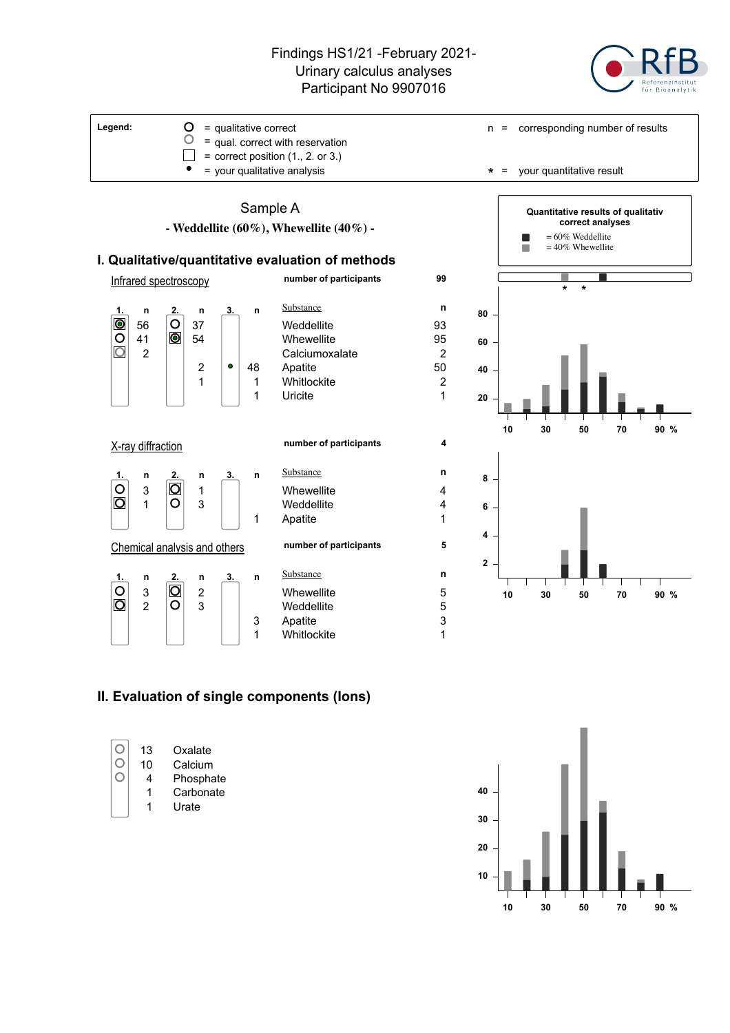

**5**



### **Chemical analysis and others**

|                                           | n              | 2.                            | n | 3. | n |
|-------------------------------------------|----------------|-------------------------------|---|----|---|
| $\overline{\overset{\text{O}}{\text{O}}}$ | 3              | $\bar{\overline{\mathsf{O}}}$ | 2 |    |   |
|                                           | $\overline{2}$ |                               | 3 |    |   |
|                                           |                |                               |   |    | 3 |
|                                           |                |                               |   |    |   |

|   |                         |   |                         | 1 | Uricite                | 1 |
|---|-------------------------|---|-------------------------|---|------------------------|---|
|   | <i>iffraction</i>       |   |                         |   | number of participants | 4 |
| n | 2.                      | n | 3.                      | n | Substance              | n |
| 3 |                         | 1 |                         |   | Whewellite             | 4 |
| 1 | n                       | 3 |                         |   | Weddellite             | 4 |
|   |                         |   |                         | 1 | Apatite                | 1 |
|   |                         |   | cal analysis and others |   | number of participants | 5 |
| n | 2.                      | n | 3.                      | n | Substance              | n |
| 3 | $\overline{\mathsf{O}}$ | 2 |                         |   | Whewellite             | 5 |
| 2 | റ                       | 3 |                         |   | Weddellite             | 5 |
|   |                         |   |                         | 3 | Apatite                | 3 |
|   |                         |   |                         | 1 | Whitlockite            | 1 |



# **II. Evaluation of single components (Ions)**

|  | 13<br>10<br>4 | Oxalate<br>Calcium<br>Phosphate<br>Carbonate<br>Urate |
|--|---------------|-------------------------------------------------------|
|--|---------------|-------------------------------------------------------|



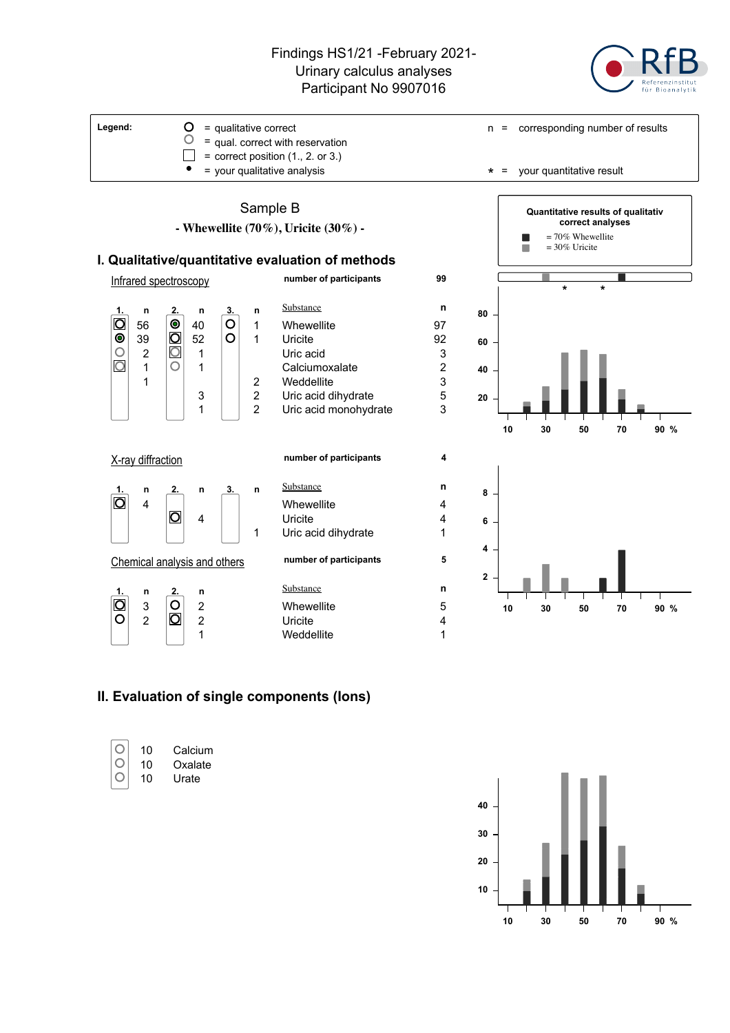

**99**

**4**

**5**

### Sample B **- Whewellite (70%), Uricite (30%) - I. Qualitative/quantitative evaluation of methods** Infrared spectroscopy **number of participants** Substance **n 1. n 2. n 3. n** 56 **1** 40 **0** 1 Whewellite 97<br>
39 **0** 52 **0** 1 Uricite 92<br>
2 **0** 1 Uricacid 3  $\bullet$ 39  $\boxed{O}$  52  $\boxed{O}$  1 Uricite 92  $\circ$  $\begin{array}{c|c|c|c|c} 2 & 0 & 1 & 1 \\ 1 & 0 & 1 & 1 \end{array}$  Uric acid 2  $\bigcirc$ 1 | Calciumoxalate 2 1 | | | | | | 2 Weddellite 3 3 | 2 Uric acid dihydrate 5 1 | 2 Uric acid monohydrate 3 X-ray diffraction **number of participants** Substance **n 1. n 2. n 3. n** O  $\begin{array}{c|c|c|c|c|c} \hline \text{4} & \text{4} & \text{4} \\ \hline \text{5} & \text{4} & \text{4} \\ \hline \end{array}$ 4 Uricite 4 1 Uric acid dihydrate 1 Chemical analysis and others **number of participants** Substance **n 1. n 2. n**  $\begin{array}{ccc} 3 & \begin{array}{|c|c|c|}\n 3 & \begin{array}{|c|c|}\n \hline\n 2 & \begin{array}{|c|c|}\n \hline\n 3 & \begin{array}{|c|c|}\n \hline\n 4 & \end{array}\n \hline\n \end{array} & \begin{array}{|c|c|}\n \hline\n 4 & \begin{array}{|c|c|}\n \hline\n \end{array} & \begin{array}{|c|c|}\n \hline\n 4 & \end{array} & \end{array} & \begin{array}{|c|c|}\n \hline\n 4 & \begin{array}{|c|c|}\n \hline\n 4 & \begin{array}{|c|c|$



**10 30 50 70 90 %**

# **II. Evaluation of single components (Ions)**

2  $\vert$   $\vert$  2 Uricite 4

1 Weddellite 1



**10 30 50 70 90 % 10 20 30 40**

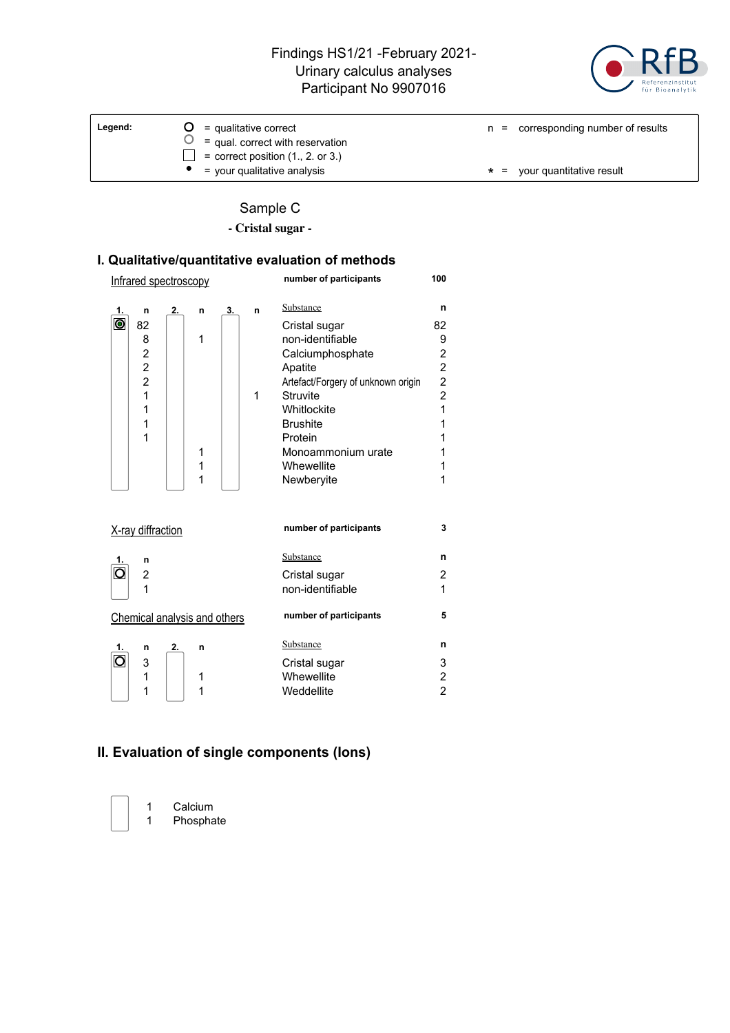

| Legend: | $\mathbf{O}$ = qualitative correct<br>$\bigcup$ = qual. correct with reservation<br>$=$ correct position $(1., 2.$ or 3.) | $n =$ corresponding number of results |
|---------|---------------------------------------------------------------------------------------------------------------------------|---------------------------------------|
|         | = your qualitative analysis                                                                                               | $\star$ = your quantitative result    |

# Sample C

**- Cristal sugar -**

# **I. Qualitative/quantitative evaluation of methods**

| Infrared spectroscopy                     |    |        |    |   | number of participants             | 100                          |
|-------------------------------------------|----|--------|----|---|------------------------------------|------------------------------|
| 1.<br>n                                   | 2. | n      | 3. | n | Substance                          | n                            |
| $\bullet$<br>82                           |    |        |    |   | Cristal sugar                      | 82                           |
| 8                                         |    | 1      |    |   | non-identifiable                   | 9<br>$\overline{\mathbf{c}}$ |
| $\frac{2}{2}$                             |    |        |    |   | Calciumphosphate<br>Apatite        | $\overline{c}$               |
| $\overline{c}$                            |    |        |    |   | Artefact/Forgery of unknown origin |                              |
| $\mathbf{1}$                              |    |        |    | 1 | Struvite                           | $\frac{2}{2}$                |
| 1                                         |    |        |    |   | Whitlockite                        | $\overline{1}$               |
| 1                                         |    |        |    |   | <b>Brushite</b>                    | 1                            |
| 1                                         |    |        |    |   | Protein                            | 1                            |
|                                           |    | 1<br>1 |    |   | Monoammonium urate<br>Whewellite   | 1<br>1                       |
|                                           |    | 1      |    |   | Newberyite                         | 1                            |
|                                           |    |        |    |   |                                    |                              |
| X-ray diffraction                         |    |        |    |   | number of participants             | 3                            |
| n<br>1.                                   |    |        |    |   | Substance                          | n                            |
| $\overline{\mathsf{O}}$<br>$\overline{2}$ |    |        |    |   | Cristal sugar                      | 2                            |
| 1                                         |    |        |    |   | non-identifiable                   | 1                            |
| Chemical analysis and others              |    |        |    |   | number of participants             | 5                            |
| n                                         | 2. | n      |    |   | Substance                          | n                            |
| $\overline{\mathsf{O}}$<br>3              |    |        |    |   | Cristal sugar                      | 3                            |
| 1                                         |    | 1      |    |   | Whewellite                         | $\overline{\mathbf{c}}$      |
| 1                                         |    | 1      |    |   | Weddellite                         | $\overline{2}$               |

# **II. Evaluation of single components (Ions)**

1 Calcium 1 Phosphate